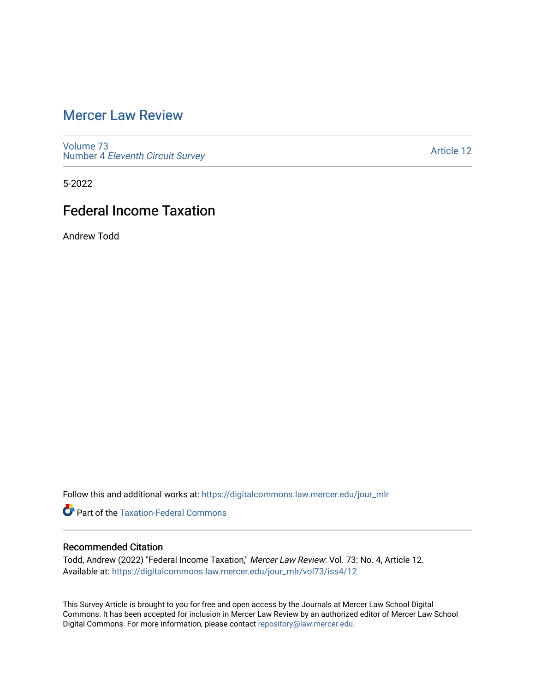## [Mercer Law Review](https://digitalcommons.law.mercer.edu/jour_mlr)

[Volume 73](https://digitalcommons.law.mercer.edu/jour_mlr/vol73) Number 4 [Eleventh Circuit Survey](https://digitalcommons.law.mercer.edu/jour_mlr/vol73/iss4) 

[Article 12](https://digitalcommons.law.mercer.edu/jour_mlr/vol73/iss4/12) 

5-2022

# Federal Income Taxation

Andrew Todd

Follow this and additional works at: [https://digitalcommons.law.mercer.edu/jour\\_mlr](https://digitalcommons.law.mercer.edu/jour_mlr?utm_source=digitalcommons.law.mercer.edu%2Fjour_mlr%2Fvol73%2Fiss4%2F12&utm_medium=PDF&utm_campaign=PDFCoverPages)

**C** Part of the [Taxation-Federal Commons](https://network.bepress.com/hgg/discipline/881?utm_source=digitalcommons.law.mercer.edu%2Fjour_mlr%2Fvol73%2Fiss4%2F12&utm_medium=PDF&utm_campaign=PDFCoverPages)

## Recommended Citation

Todd, Andrew (2022) "Federal Income Taxation," Mercer Law Review: Vol. 73: No. 4, Article 12. Available at: [https://digitalcommons.law.mercer.edu/jour\\_mlr/vol73/iss4/12](https://digitalcommons.law.mercer.edu/jour_mlr/vol73/iss4/12?utm_source=digitalcommons.law.mercer.edu%2Fjour_mlr%2Fvol73%2Fiss4%2F12&utm_medium=PDF&utm_campaign=PDFCoverPages) 

This Survey Article is brought to you for free and open access by the Journals at Mercer Law School Digital Commons. It has been accepted for inclusion in Mercer Law Review by an authorized editor of Mercer Law School Digital Commons. For more information, please contact [repository@law.mercer.edu](mailto:repository@law.mercer.edu).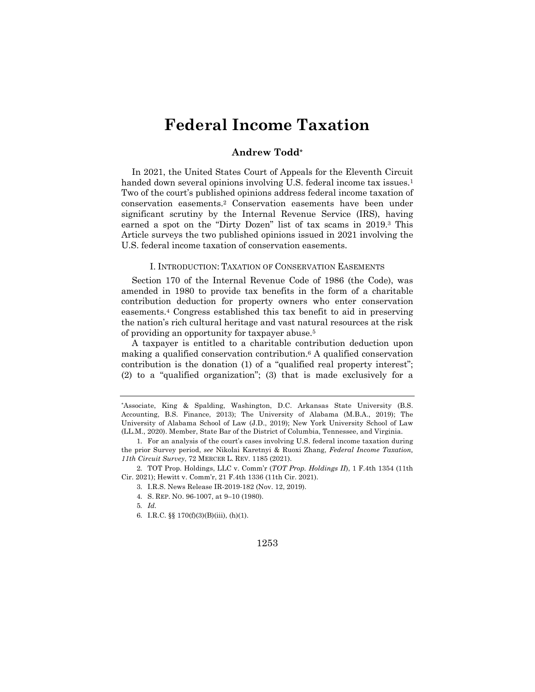# **Federal Income Taxation**

## **Andrew Todd\***

In 2021, the United States Court of Appeals for the Eleventh Circuit handed down several opinions involving U.S. federal income tax issues.<sup>1</sup> Two of the court's published opinions address federal income taxation of conservation easements.2 Conservation easements have been under significant scrutiny by the Internal Revenue Service (IRS), having earned a spot on the "Dirty Dozen" list of tax scams in 2019.3 This Article surveys the two published opinions issued in 2021 involving the U.S. federal income taxation of conservation easements.

## I. INTRODUCTION: TAXATION OF CONSERVATION EASEMENTS

Section 170 of the Internal Revenue Code of 1986 (the Code), was amended in 1980 to provide tax benefits in the form of a charitable contribution deduction for property owners who enter conservation easements.4 Congress established this tax benefit to aid in preserving the nation's rich cultural heritage and vast natural resources at the risk of providing an opportunity for taxpayer abuse.5

A taxpayer is entitled to a charitable contribution deduction upon making a qualified conservation contribution.6 A qualified conservation contribution is the donation (1) of a "qualified real property interest"; (2) to a "qualified organization"; (3) that is made exclusively for a

- 3. I.R.S. News Release IR-2019-182 (Nov. 12, 2019).
- 4. S. REP. NO. 96-1007, at 9–10 (1980).
- 5*. Id.*
- 6. I.R.C. §§ 170(f)(3)(B)(iii), (h)(1).

### 1253

<sup>\*</sup>Associate, King & Spalding, Washington, D.C. Arkansas State University (B.S. Accounting, B.S. Finance, 2013); The University of Alabama (M.B.A., 2019); The University of Alabama School of Law (J.D., 2019); New York University School of Law (LL.M., 2020). Member, State Bar of the District of Columbia, Tennessee, and Virginia.

<sup>1.</sup> For an analysis of the court's cases involving U.S. federal income taxation during the prior Survey period, *see* Nikolai Karetnyi & Ruoxi Zhang, *Federal Income Taxation, 11th Circuit Survey*, 72 MERCER L. REV. 1185 (2021).

<sup>2.</sup> TOT Prop. Holdings, LLC v. Comm'r (*TOT Prop. Holdings II*), 1 F.4th 1354 (11th Cir. 2021); Hewitt v. Comm'r, 21 F.4th 1336 (11th Cir. 2021).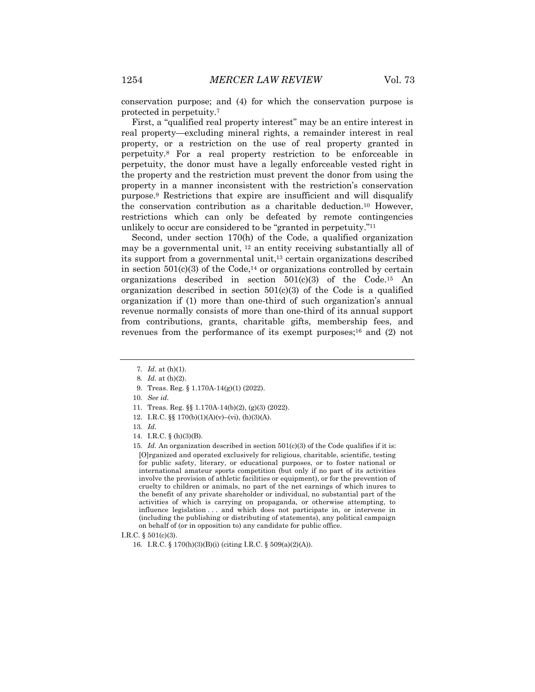conservation purpose; and (4) for which the conservation purpose is protected in perpetuity.7

First, a "qualified real property interest" may be an entire interest in real property—excluding mineral rights, a remainder interest in real property, or a restriction on the use of real property granted in perpetuity.8 For a real property restriction to be enforceable in perpetuity, the donor must have a legally enforceable vested right in the property and the restriction must prevent the donor from using the property in a manner inconsistent with the restriction's conservation purpose.9 Restrictions that expire are insufficient and will disqualify the conservation contribution as a charitable deduction.10 However, restrictions which can only be defeated by remote contingencies unlikely to occur are considered to be "granted in perpetuity."11

Second, under section 170(h) of the Code, a qualified organization may be a governmental unit, <sup>12</sup> an entity receiving substantially all of its support from a governmental unit,<sup>13</sup> certain organizations described in section  $501(c)(3)$  of the Code,<sup>14</sup> or organizations controlled by certain organizations described in section  $501(c)(3)$  of the Code.<sup>15</sup> An organization described in section  $501(c)(3)$  of the Code is a qualified organization if (1) more than one-third of such organization's annual revenue normally consists of more than one-third of its annual support from contributions, grants, charitable gifts, membership fees, and revenues from the performance of its exempt purposes; $^{16}$  and (2) not

9. Treas. Reg. § 1.170A-14(g)(1) (2022).

- 11. Treas. Reg. §§ 1.170A-14(b)(2), (g)(3) (2022).
- 12. I.R.C. §§ 170(b)(1)(A)(v)–(vi), (h)(3)(A).

<sup>7</sup>*. Id*. at (h)(1).

<sup>8</sup>*. Id.* at (h)(2).

<sup>10</sup>*. See id.*

<sup>13</sup>*. Id.*

<sup>14.</sup> I.R.C. § (h)(3)(B).

<sup>15</sup>*. Id.* An organization described in section 501(c)(3) of the Code qualifies if it is: [O]rganized and operated exclusively for religious, charitable, scientific, testing for public safety, literary, or educational purposes, or to foster national or international amateur sports competition (but only if no part of its activities involve the provision of athletic facilities or equipment), or for the prevention of cruelty to children or animals, no part of the net earnings of which inures to the benefit of any private shareholder or individual, no substantial part of the activities of which is carrying on propaganda, or otherwise attempting, to influence legislation . . . and which does not participate in, or intervene in (including the publishing or distributing of statements), any political campaign on behalf of (or in opposition to) any candidate for public office.

I.R.C. § 501(c)(3).

<sup>16.</sup> I.R.C. § 170(h)(3)(B)(i) (citing I.R.C. § 509(a)(2)(A)).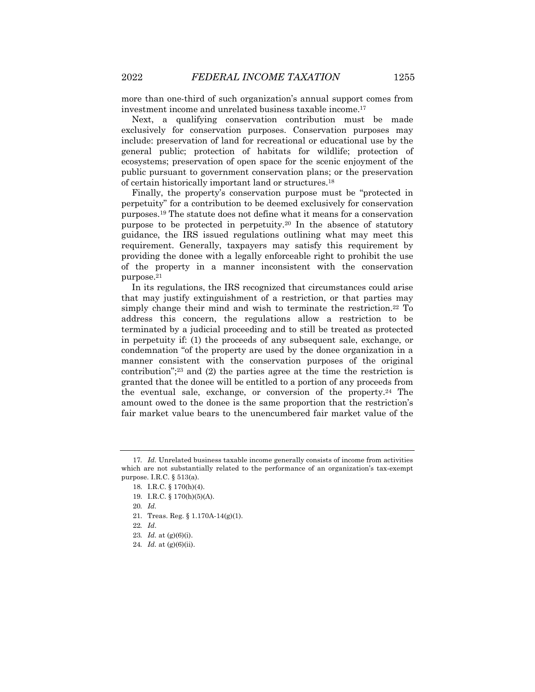more than one-third of such organization's annual support comes from investment income and unrelated business taxable income.17

Next, a qualifying conservation contribution must be made exclusively for conservation purposes. Conservation purposes may include: preservation of land for recreational or educational use by the general public; protection of habitats for wildlife; protection of ecosystems; preservation of open space for the scenic enjoyment of the public pursuant to government conservation plans; or the preservation of certain historically important land or structures.18

Finally, the property's conservation purpose must be "protected in perpetuity" for a contribution to be deemed exclusively for conservation purposes.19 The statute does not define what it means for a conservation purpose to be protected in perpetuity.20 In the absence of statutory guidance, the IRS issued regulations outlining what may meet this requirement. Generally, taxpayers may satisfy this requirement by providing the donee with a legally enforceable right to prohibit the use of the property in a manner inconsistent with the conservation purpose.21

In its regulations, the IRS recognized that circumstances could arise that may justify extinguishment of a restriction, or that parties may simply change their mind and wish to terminate the restriction.22 To address this concern, the regulations allow a restriction to be terminated by a judicial proceeding and to still be treated as protected in perpetuity if: (1) the proceeds of any subsequent sale, exchange, or condemnation "of the property are used by the donee organization in a manner consistent with the conservation purposes of the original contribution";<sup>23</sup> and (2) the parties agree at the time the restriction is granted that the donee will be entitled to a portion of any proceeds from the eventual sale, exchange, or conversion of the property.24 The amount owed to the donee is the same proportion that the restriction's fair market value bears to the unencumbered fair market value of the

<sup>17</sup>*. Id.* Unrelated business taxable income generally consists of income from activities which are not substantially related to the performance of an organization's tax-exempt purpose. I.R.C. § 513(a).

<sup>18.</sup> I.R.C. § 170(h)(4).

<sup>19.</sup> I.R.C. § 170(h)(5)(A).

<sup>20</sup>*. Id.*

<sup>21.</sup> Treas. Reg. § 1.170A-14(g)(1).

<sup>22</sup>*. Id*.

<sup>23</sup>*. Id.* at (g)(6)(i).

<sup>24</sup>*. Id.* at (g)(6)(ii).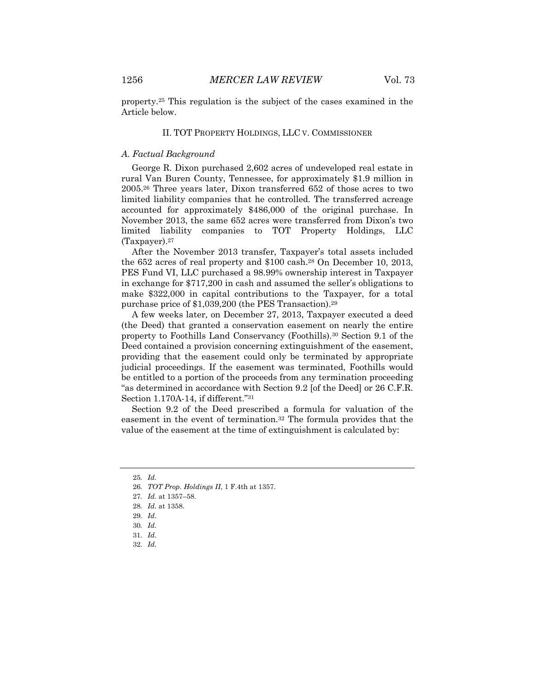property.25 This regulation is the subject of the cases examined in the Article below.

#### II. TOT PROPERTY HOLDINGS, LLC V. COMMISSIONER

#### *A. Factual Background*

George R. Dixon purchased 2,602 acres of undeveloped real estate in rural Van Buren County, Tennessee, for approximately \$1.9 million in 2005.26 Three years later, Dixon transferred 652 of those acres to two limited liability companies that he controlled. The transferred acreage accounted for approximately \$486,000 of the original purchase. In November 2013, the same 652 acres were transferred from Dixon's two limited liability companies to TOT Property Holdings, LLC (Taxpayer).27

After the November 2013 transfer, Taxpayer's total assets included the 652 acres of real property and \$100 cash.28 On December 10, 2013, PES Fund VI, LLC purchased a 98.99% ownership interest in Taxpayer in exchange for \$717,200 in cash and assumed the seller's obligations to make \$322,000 in capital contributions to the Taxpayer, for a total purchase price of \$1,039,200 (the PES Transaction).29

A few weeks later, on December 27, 2013, Taxpayer executed a deed (the Deed) that granted a conservation easement on nearly the entire property to Foothills Land Conservancy (Foothills).30 Section 9.1 of the Deed contained a provision concerning extinguishment of the easement, providing that the easement could only be terminated by appropriate judicial proceedings. If the easement was terminated, Foothills would be entitled to a portion of the proceeds from any termination proceeding "as determined in accordance with Section 9.2 [of the Deed] or 26 C.F.R. Section 1.170A-14, if different."31

Section 9.2 of the Deed prescribed a formula for valuation of the easement in the event of termination.32 The formula provides that the value of the easement at the time of extinguishment is calculated by:

32. *Id.*

<sup>25</sup>*. Id.*

<sup>26</sup>*. TOT Prop. Holdings II*, 1 F.4th at 1357.

<sup>27</sup>*. Id.* at 1357–58.

<sup>28</sup>*. Id.* at 1358.

<sup>29</sup>*. Id*.

<sup>30</sup>*. Id.*

<sup>31.</sup> *Id.*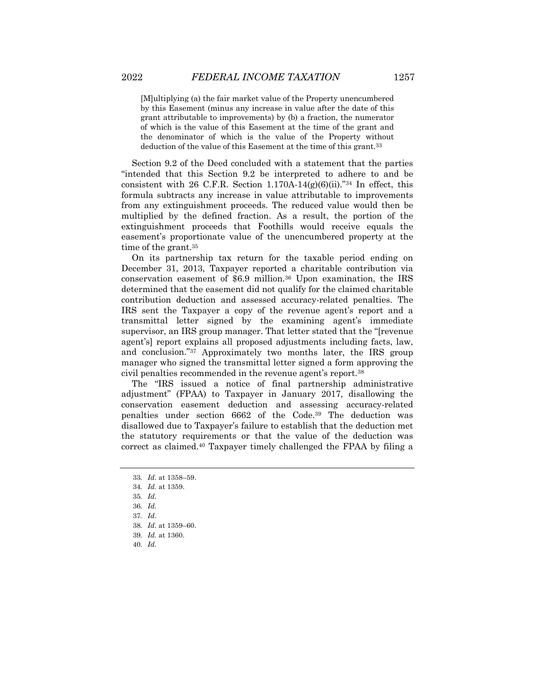[M]ultiplying (a) the fair market value of the Property unencumbered by this Easement (minus any increase in value after the date of this grant attributable to improvements) by (b) a fraction, the numerator of which is the value of this Easement at the time of the grant and the denominator of which is the value of the Property without deduction of the value of this Easement at the time of this grant.<sup>33</sup>

Section 9.2 of the Deed concluded with a statement that the parties "intended that this Section 9.2 be interpreted to adhere to and be consistent with 26 C.F.R. Section 1.170A-14 $(g)(6)(ii)$ ."<sup>34</sup> In effect, this formula subtracts any increase in value attributable to improvements from any extinguishment proceeds. The reduced value would then be multiplied by the defined fraction. As a result, the portion of the extinguishment proceeds that Foothills would receive equals the easement's proportionate value of the unencumbered property at the time of the grant.35

On its partnership tax return for the taxable period ending on December 31, 2013, Taxpayer reported a charitable contribution via conservation easement of \$6.9 million.36 Upon examination, the IRS determined that the easement did not qualify for the claimed charitable contribution deduction and assessed accuracy-related penalties. The IRS sent the Taxpayer a copy of the revenue agent's report and a transmittal letter signed by the examining agent's immediate supervisor, an IRS group manager. That letter stated that the "[revenue agent's] report explains all proposed adjustments including facts, law, and conclusion."37 Approximately two months later, the IRS group manager who signed the transmittal letter signed a form approving the civil penalties recommended in the revenue agent's report.38

The "IRS issued a notice of final partnership administrative adjustment" (FPAA) to Taxpayer in January 2017, disallowing the conservation easement deduction and assessing accuracy-related penalties under section 6662 of the Code.39 The deduction was disallowed due to Taxpayer's failure to establish that the deduction met the statutory requirements or that the value of the deduction was correct as claimed.40 Taxpayer timely challenged the FPAA by filing a

<sup>33</sup>*. Id.* at 1358–59.

<sup>34</sup>*. Id.* at 1359.

<sup>35</sup>*. Id.*

<sup>36</sup>*. Id.*

<sup>37</sup>*. Id.*

<sup>38</sup>*. Id.* at 1359–60.

<sup>39</sup>*. Id.* at 1360.

<sup>40.</sup> *Id.*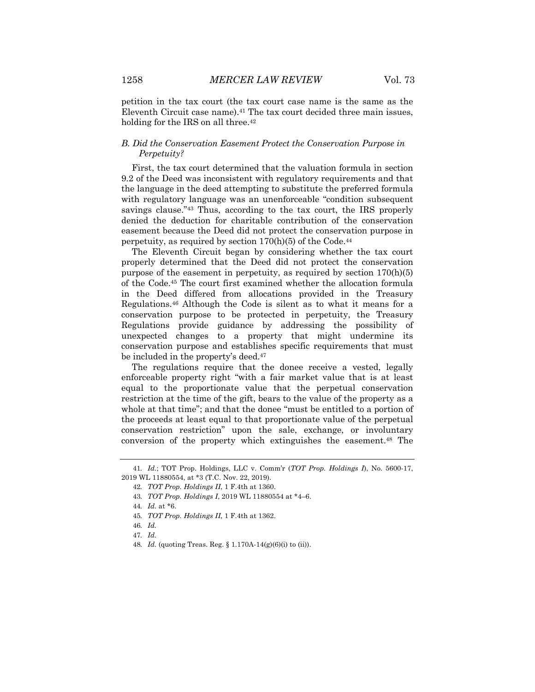petition in the tax court (the tax court case name is the same as the Eleventh Circuit case name).<sup>41</sup> The tax court decided three main issues, holding for the IRS on all three.<sup>42</sup>

## *B. Did the Conservation Easement Protect the Conservation Purpose in Perpetuity?*

First, the tax court determined that the valuation formula in section 9.2 of the Deed was inconsistent with regulatory requirements and that the language in the deed attempting to substitute the preferred formula with regulatory language was an unenforceable "condition subsequent savings clause."43 Thus, according to the tax court, the IRS properly denied the deduction for charitable contribution of the conservation easement because the Deed did not protect the conservation purpose in perpetuity, as required by section  $170(h)(5)$  of the Code.<sup>44</sup>

The Eleventh Circuit began by considering whether the tax court properly determined that the Deed did not protect the conservation purpose of the easement in perpetuity, as required by section 170(h)(5) of the Code.45 The court first examined whether the allocation formula in the Deed differed from allocations provided in the Treasury Regulations.46 Although the Code is silent as to what it means for a conservation purpose to be protected in perpetuity, the Treasury Regulations provide guidance by addressing the possibility of unexpected changes to a property that might undermine its conservation purpose and establishes specific requirements that must be included in the property's deed.47

The regulations require that the donee receive a vested, legally enforceable property right "with a fair market value that is at least equal to the proportionate value that the perpetual conservation restriction at the time of the gift, bears to the value of the property as a whole at that time"; and that the donee "must be entitled to a portion of the proceeds at least equal to that proportionate value of the perpetual conservation restriction" upon the sale, exchange, or involuntary conversion of the property which extinguishes the easement.48 The

<sup>41</sup>*. Id.*; TOT Prop. Holdings, LLC v. Comm'r (*TOT Prop. Holdings I*), No. 5600-17, 2019 WL 11880554, at \*3 (T.C. Nov. 22, 2019).

<sup>42</sup>*. TOT Prop. Holdings II*, 1 F.4th at 1360.

<sup>43</sup>*. TOT Prop. Holdings I*, 2019 WL 11880554 at \*4–6.

<sup>44</sup>*. Id.* at \*6.

<sup>45</sup>*. TOT Prop. Holdings II*, 1 F.4th at 1362.

<sup>46</sup>*. Id.*

<sup>47</sup>*. Id.*

<sup>48</sup>*. Id.* (quoting Treas. Reg. § 1.170A-14(g)(6)(i) to (ii)).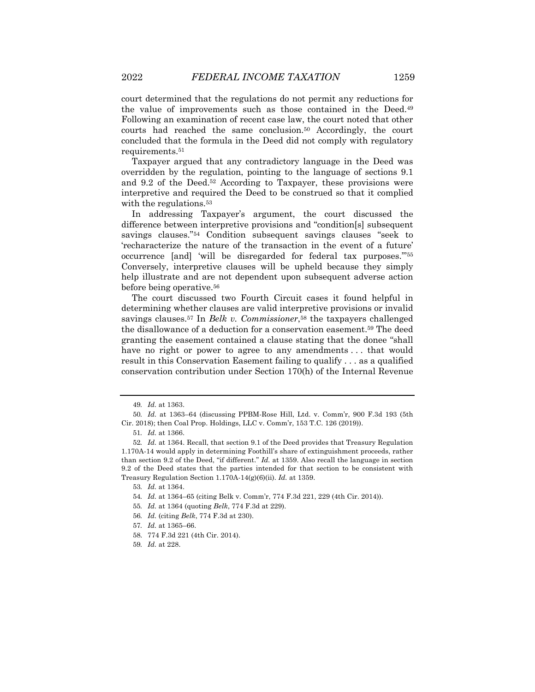court determined that the regulations do not permit any reductions for the value of improvements such as those contained in the Deed.49 Following an examination of recent case law, the court noted that other courts had reached the same conclusion.50 Accordingly, the court concluded that the formula in the Deed did not comply with regulatory requirements.51

Taxpayer argued that any contradictory language in the Deed was overridden by the regulation, pointing to the language of sections 9.1 and 9.2 of the Deed.52 According to Taxpayer, these provisions were interpretive and required the Deed to be construed so that it complied with the regulations.<sup>53</sup>

In addressing Taxpayer's argument, the court discussed the difference between interpretive provisions and "condition[s] subsequent savings clauses."54 Condition subsequent savings clauses "seek to 'recharacterize the nature of the transaction in the event of a future' occurrence [and] 'will be disregarded for federal tax purposes.'"55 Conversely, interpretive clauses will be upheld because they simply help illustrate and are not dependent upon subsequent adverse action before being operative.56

The court discussed two Fourth Circuit cases it found helpful in determining whether clauses are valid interpretive provisions or invalid savings clauses.57 In *Belk v. Commissioner*,58 the taxpayers challenged the disallowance of a deduction for a conservation easement.59 The deed granting the easement contained a clause stating that the donee "shall have no right or power to agree to any amendments... that would result in this Conservation Easement failing to qualify . . . as a qualified conservation contribution under Section 170(h) of the Internal Revenue

<sup>49</sup>*. Id.* at 1363.

<sup>50</sup>*. Id.* at 1363–64 (discussing PPBM-Rose Hill, Ltd. v. Comm'r, 900 F.3d 193 (5th Cir. 2018); then Coal Prop. Holdings, LLC v. Comm'r, 153 T.C. 126 (2019)).

<sup>51</sup>*. Id.* at 1366.

<sup>52</sup>*. Id.* at 1364. Recall, that section 9.1 of the Deed provides that Treasury Regulation 1.170A-14 would apply in determining Foothill's share of extinguishment proceeds, rather than section 9.2 of the Deed, "if different." *Id.* at 1359. Also recall the language in section 9.2 of the Deed states that the parties intended for that section to be consistent with Treasury Regulation Section 1.170A-14(g)(6)(ii). *Id.* at 1359.

<sup>53</sup>*. Id.* at 1364.

<sup>54</sup>*. Id.* at 1364–65 (citing Belk v. Comm'r, 774 F.3d 221, 229 (4th Cir. 2014)).

<sup>55</sup>*. Id.* at 1364 (quoting *Belk*, 774 F.3d at 229).

<sup>56</sup>*. Id.* (citing *Belk*, 774 F.3d at 230).

<sup>57</sup>*. Id.* at 1365–66.

<sup>58.</sup> 774 F.3d 221 (4th Cir. 2014).

<sup>59</sup>*. Id.* at 228.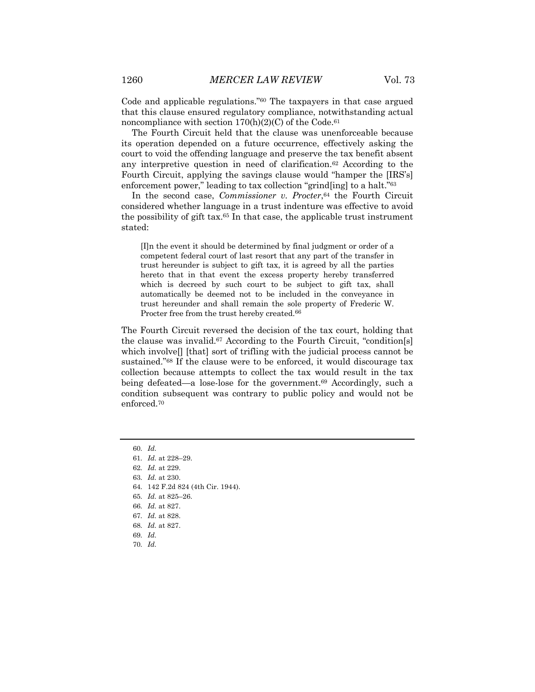Code and applicable regulations."60 The taxpayers in that case argued that this clause ensured regulatory compliance, notwithstanding actual noncompliance with section  $170(h)(2)(C)$  of the Code.<sup>61</sup>

The Fourth Circuit held that the clause was unenforceable because its operation depended on a future occurrence, effectively asking the court to void the offending language and preserve the tax benefit absent any interpretive question in need of clarification.62 According to the Fourth Circuit, applying the savings clause would "hamper the [IRS's] enforcement power," leading to tax collection "grind[ing] to a halt."<sup>63</sup>

In the second case, *Commissioner v. Procter*,<sup>64</sup> the Fourth Circuit considered whether language in a trust indenture was effective to avoid the possibility of gift tax.65 In that case, the applicable trust instrument stated:

[I]n the event it should be determined by final judgment or order of a competent federal court of last resort that any part of the transfer in trust hereunder is subject to gift tax, it is agreed by all the parties hereto that in that event the excess property hereby transferred which is decreed by such court to be subject to gift tax, shall automatically be deemed not to be included in the conveyance in trust hereunder and shall remain the sole property of Frederic W. Procter free from the trust hereby created.<sup>66</sup>

The Fourth Circuit reversed the decision of the tax court, holding that the clause was invalid.67 According to the Fourth Circuit, "condition[s] which involve[] [that] sort of trifling with the judicial process cannot be sustained."68 If the clause were to be enforced, it would discourage tax collection because attempts to collect the tax would result in the tax being defeated—a lose-lose for the government.69 Accordingly, such a condition subsequent was contrary to public policy and would not be enforced.70

70. *Id.*

<sup>60.</sup> *Id.*

<sup>61.</sup> *Id.* at 228–29.

<sup>62.</sup> *Id.* at 229.

<sup>63.</sup> *Id.* at 230.

<sup>64.</sup> 142 F.2d 824 (4th Cir. 1944).

<sup>65.</sup> *Id.* at 825–26.

<sup>66.</sup> *Id.* at 827.

<sup>67.</sup> *Id.* at 828.

<sup>68.</sup> *Id.* at 827.

<sup>69.</sup> *Id.*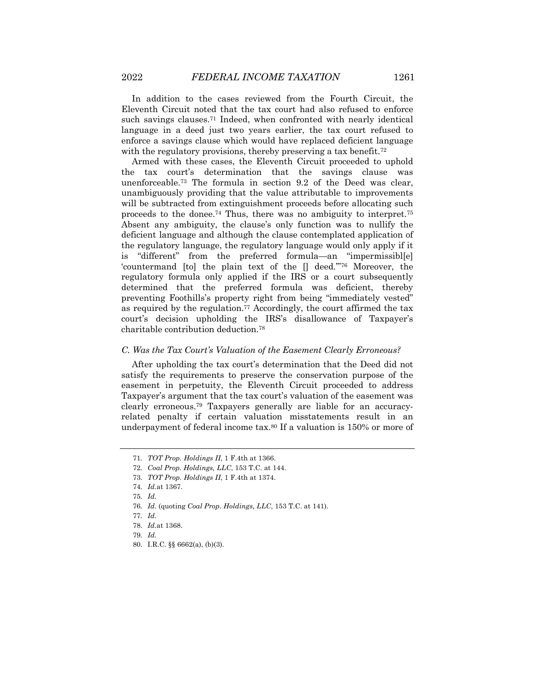In addition to the cases reviewed from the Fourth Circuit, the Eleventh Circuit noted that the tax court had also refused to enforce such savings clauses.<sup>71</sup> Indeed, when confronted with nearly identical language in a deed just two years earlier, the tax court refused to enforce a savings clause which would have replaced deficient language with the regulatory provisions, thereby preserving a tax benefit.<sup>72</sup>

Armed with these cases, the Eleventh Circuit proceeded to uphold the tax court's determination that the savings clause was unenforceable.73 The formula in section 9.2 of the Deed was clear, unambiguously providing that the value attributable to improvements will be subtracted from extinguishment proceeds before allocating such proceeds to the donee.<sup>74</sup> Thus, there was no ambiguity to interpret.<sup>75</sup> Absent any ambiguity, the clause's only function was to nullify the deficient language and although the clause contemplated application of the regulatory language, the regulatory language would only apply if it is "different" from the preferred formula—an "impermissibl[e] 'countermand [to] the plain text of the [] deed.'"76 Moreover, the regulatory formula only applied if the IRS or a court subsequently determined that the preferred formula was deficient, thereby preventing Foothills's property right from being "immediately vested" as required by the regulation.77 Accordingly, the court affirmed the tax court's decision upholding the IRS's disallowance of Taxpayer's charitable contribution deduction.78

#### *C. Was the Tax Court's Valuation of the Easement Clearly Erroneous?*

After upholding the tax court's determination that the Deed did not satisfy the requirements to preserve the conservation purpose of the easement in perpetuity, the Eleventh Circuit proceeded to address Taxpayer's argument that the tax court's valuation of the easement was clearly erroneous.79 Taxpayers generally are liable for an accuracyrelated penalty if certain valuation misstatements result in an underpayment of federal income tax.80 If a valuation is 150% or more of

<sup>71.</sup> *TOT Prop. Holdings II*, 1 F.4th at 1366.

<sup>72.</sup> *Coal Prop. Holdings, LLC*, 153 T.C. at 144.

<sup>73.</sup> *TOT Prop. Holdings II*, 1 F.4th at 1374.

<sup>74.</sup> *Id.*at 1367.

<sup>75.</sup> *Id.*

<sup>76.</sup> *Id.* (quoting *Coal Prop. Holdings, LLC*, 153 T.C. at 141).

<sup>77.</sup> *Id.*

<sup>78.</sup> *Id.*at 1368.

<sup>79.</sup> *Id.*

<sup>80.</sup> I.R.C. §§ 6662(a), (b)(3).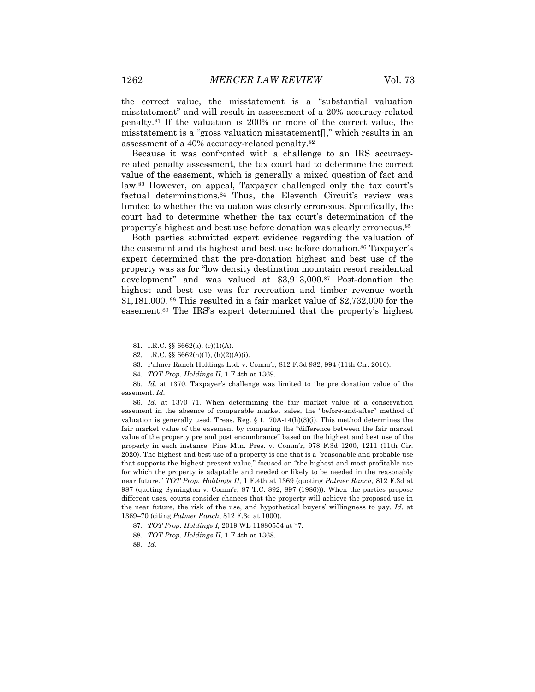the correct value, the misstatement is a "substantial valuation misstatement" and will result in assessment of a 20% accuracy-related penalty.81 If the valuation is 200% or more of the correct value, the misstatement is a "gross valuation misstatement[]," which results in an assessment of a 40% accuracy-related penalty.82

Because it was confronted with a challenge to an IRS accuracyrelated penalty assessment, the tax court had to determine the correct value of the easement, which is generally a mixed question of fact and law.83 However, on appeal, Taxpayer challenged only the tax court's factual determinations.84 Thus, the Eleventh Circuit's review was limited to whether the valuation was clearly erroneous. Specifically, the court had to determine whether the tax court's determination of the property's highest and best use before donation was clearly erroneous.85

Both parties submitted expert evidence regarding the valuation of the easement and its highest and best use before donation.<sup>86</sup> Taxpayer's expert determined that the pre-donation highest and best use of the property was as for "low density destination mountain resort residential development" and was valued at \$3,913,000.87 Post-donation the highest and best use was for recreation and timber revenue worth \$1,181,000. <sup>88</sup> This resulted in a fair market value of \$2,732,000 for the easement.89 The IRS's expert determined that the property's highest

86*. Id.* at 1370–71. When determining the fair market value of a conservation easement in the absence of comparable market sales, the "before-and-after" method of valuation is generally used. Treas. Reg.  $\S 1.170A-14(h)(3)(i)$ . This method determines the fair market value of the easement by comparing the "difference between the fair market value of the property pre and post encumbrance" based on the highest and best use of the property in each instance. Pine Mtn. Pres. v. Comm'r, 978 F.3d 1200, 1211 (11th Cir. 2020). The highest and best use of a property is one that is a "reasonable and probable use that supports the highest present value," focused on "the highest and most profitable use for which the property is adaptable and needed or likely to be needed in the reasonably near future." *TOT Prop. Holdings II*, 1 F.4th at 1369 (quoting *Palmer Ranch*, 812 F.3d at 987 (quoting Symington v. Comm'r, 87 T.C. 892, 897 (1986))). When the parties propose different uses, courts consider chances that the property will achieve the proposed use in the near future, the risk of the use, and hypothetical buyers' willingness to pay. *Id.* at 1369–70 (citing *Palmer Ranch*, 812 F.3d at 1000).

<sup>81.</sup> I.R.C. §§ 6662(a), (e)(1)(A).

<sup>82.</sup> I.R.C. §§ 6662(h)(1), (h)(2)(A)(i).

<sup>83.</sup> Palmer Ranch Holdings Ltd. v. Comm'r, 812 F.3d 982, 994 (11th Cir. 2016).

<sup>84</sup>*. TOT Prop. Holdings II*, 1 F.4th at 1369.

<sup>85</sup>*. Id.* at 1370. Taxpayer's challenge was limited to the pre donation value of the easement. *Id.*

<sup>87</sup>*. TOT Prop. Holdings I,* 2019 WL 11880554 at \*7.

<sup>88</sup>*. TOT Prop. Holdings II*, 1 F.4th at 1368.

<sup>89</sup>*. Id.*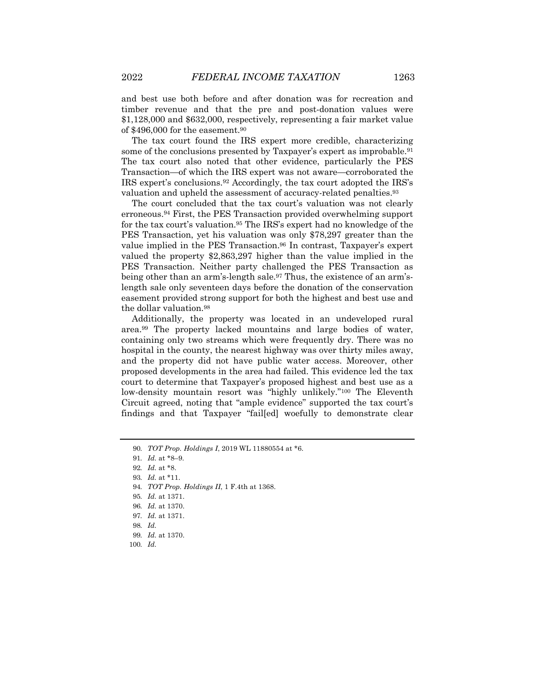and best use both before and after donation was for recreation and timber revenue and that the pre and post-donation values were \$1,128,000 and \$632,000, respectively, representing a fair market value of \$496,000 for the easement.90

The tax court found the IRS expert more credible, characterizing some of the conclusions presented by Taxpayer's expert as improbable.<sup>91</sup> The tax court also noted that other evidence, particularly the PES Transaction—of which the IRS expert was not aware—corroborated the IRS expert's conclusions.92 Accordingly, the tax court adopted the IRS's valuation and upheld the assessment of accuracy-related penalties.<sup>93</sup>

The court concluded that the tax court's valuation was not clearly erroneous.94 First, the PES Transaction provided overwhelming support for the tax court's valuation.95 The IRS's expert had no knowledge of the PES Transaction, yet his valuation was only \$78,297 greater than the value implied in the PES Transaction.<sup>96</sup> In contrast, Taxpayer's expert valued the property \$2,863,297 higher than the value implied in the PES Transaction. Neither party challenged the PES Transaction as being other than an arm's-length sale.97 Thus, the existence of an arm'slength sale only seventeen days before the donation of the conservation easement provided strong support for both the highest and best use and the dollar valuation.98

Additionally, the property was located in an undeveloped rural area.99 The property lacked mountains and large bodies of water, containing only two streams which were frequently dry. There was no hospital in the county, the nearest highway was over thirty miles away, and the property did not have public water access. Moreover, other proposed developments in the area had failed. This evidence led the tax court to determine that Taxpayer's proposed highest and best use as a low-density mountain resort was "highly unlikely."100 The Eleventh Circuit agreed, noting that "ample evidence" supported the tax court's findings and that Taxpayer "fail[ed] woefully to demonstrate clear

<sup>90</sup>*. TOT Prop. Holdings I*, 2019 WL 11880554 at \*6.

<sup>91</sup>*. Id.* at \*8–9.

<sup>92</sup>*. Id.* at \*8.

<sup>93</sup>*. Id.* at \*11.

<sup>94</sup>*. TOT Prop. Holdings II*, 1 F.4th at 1368.

<sup>95</sup>*. Id.* at 1371.

<sup>96</sup>*. Id.* at 1370.

<sup>97</sup>*. Id.* at 1371.

<sup>98</sup>*. Id.*

<sup>99</sup>*. Id.* at 1370.

<sup>100</sup>*. Id.*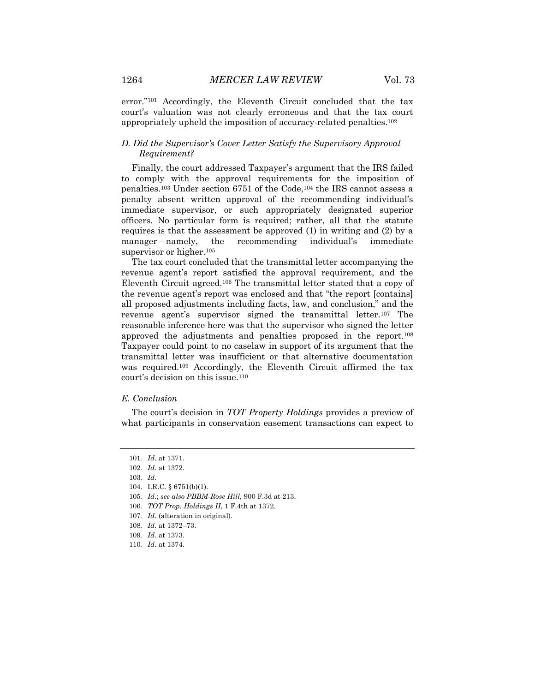error."101 Accordingly, the Eleventh Circuit concluded that the tax court's valuation was not clearly erroneous and that the tax court appropriately upheld the imposition of accuracy-related penalties.102

## *D. Did the Supervisor's Cover Letter Satisfy the Supervisory Approval Requirement?*

Finally, the court addressed Taxpayer's argument that the IRS failed to comply with the approval requirements for the imposition of penalties.103 Under section 6751 of the Code,104 the IRS cannot assess a penalty absent written approval of the recommending individual's immediate supervisor, or such appropriately designated superior officers. No particular form is required; rather, all that the statute requires is that the assessment be approved (1) in writing and (2) by a manager—namely, the recommending individual's immediate supervisor or higher.<sup>105</sup>

The tax court concluded that the transmittal letter accompanying the revenue agent's report satisfied the approval requirement, and the Eleventh Circuit agreed.106 The transmittal letter stated that a copy of the revenue agent's report was enclosed and that "the report [contains] all proposed adjustments including facts, law, and conclusion," and the revenue agent's supervisor signed the transmittal letter.107 The reasonable inference here was that the supervisor who signed the letter approved the adjustments and penalties proposed in the report.108 Taxpayer could point to no caselaw in support of its argument that the transmittal letter was insufficient or that alternative documentation was required.109 Accordingly, the Eleventh Circuit affirmed the tax court's decision on this issue.110

#### *E. Conclusion*

The court's decision in *TOT Property Holdings* provides a preview of what participants in conservation easement transactions can expect to

105*. Id.*; *see also PBBM-Rose Hill*, 900 F.3d at 213.

109*. Id.* at 1373.

<sup>101</sup>*. Id.* at 1371.

<sup>102</sup>*. Id.* at 1372.

<sup>103</sup>*. Id.*

<sup>104.</sup> I.R.C. § 6751(b)(1).

<sup>106</sup>*. TOT Prop. Holdings II*, 1 F.4th at 1372.

<sup>107</sup>*. Id.* (alteration in original).

<sup>108</sup>*. Id.* at 1372–73.

<sup>110</sup>*. Id.* at 1374.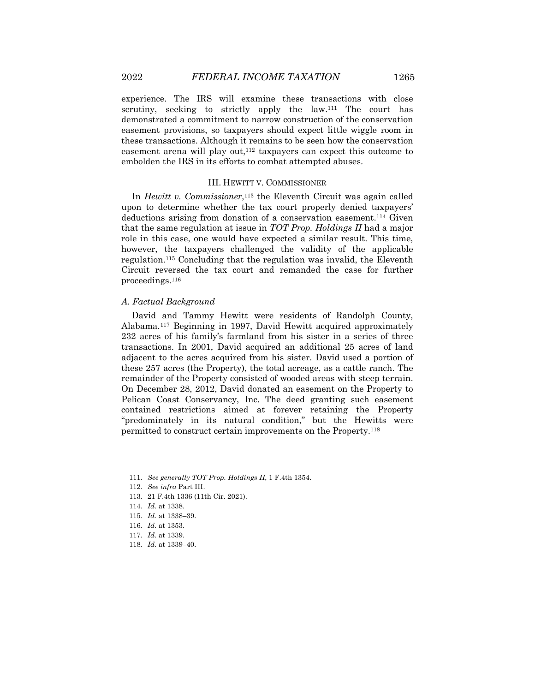experience. The IRS will examine these transactions with close scrutiny, seeking to strictly apply the law.<sup>111</sup> The court has

demonstrated a commitment to narrow construction of the conservation easement provisions, so taxpayers should expect little wiggle room in these transactions. Although it remains to be seen how the conservation easement arena will play out,<sup>112</sup> taxpayers can expect this outcome to embolden the IRS in its efforts to combat attempted abuses.

## III. HEWITT V. COMMISSIONER

In *Hewitt v. Commissioner*,113 the Eleventh Circuit was again called upon to determine whether the tax court properly denied taxpayers' deductions arising from donation of a conservation easement.<sup>114</sup> Given that the same regulation at issue in *TOT Prop. Holdings II* had a major role in this case, one would have expected a similar result. This time, however, the taxpayers challenged the validity of the applicable regulation.115 Concluding that the regulation was invalid, the Eleventh Circuit reversed the tax court and remanded the case for further proceedings.116

#### *A. Factual Background*

David and Tammy Hewitt were residents of Randolph County, Alabama.117 Beginning in 1997, David Hewitt acquired approximately 232 acres of his family's farmland from his sister in a series of three transactions. In 2001, David acquired an additional 25 acres of land adjacent to the acres acquired from his sister. David used a portion of these 257 acres (the Property), the total acreage, as a cattle ranch. The remainder of the Property consisted of wooded areas with steep terrain. On December 28, 2012, David donated an easement on the Property to Pelican Coast Conservancy, Inc. The deed granting such easement contained restrictions aimed at forever retaining the Property "predominately in its natural condition," but the Hewitts were permitted to construct certain improvements on the Property.118

<sup>111.</sup> *See generally TOT Prop. Holdings II*, 1 F.4th 1354.

<sup>112.</sup> *See infra* Part III.

<sup>113.</sup> 21 F.4th 1336 (11th Cir. 2021).

<sup>114.</sup> *Id.* at 1338.

<sup>115.</sup> *Id.* at 1338–39.

<sup>116.</sup> *Id.* at 1353.

<sup>117.</sup> *Id.* at 1339.

<sup>118.</sup> *Id.* at 1339–40.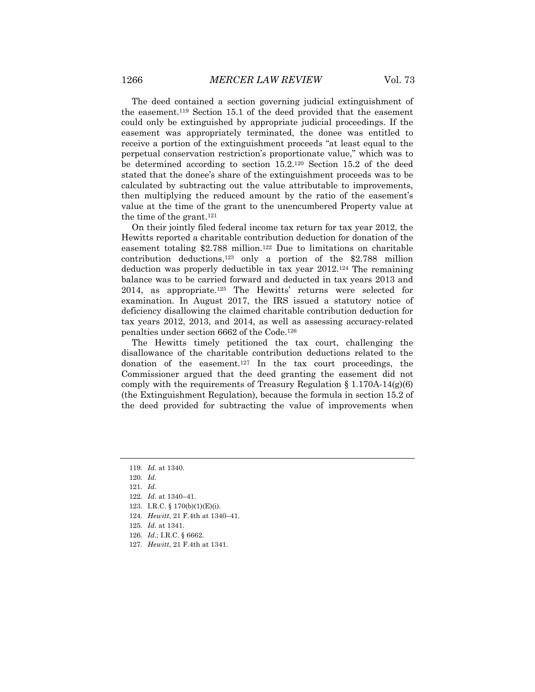The deed contained a section governing judicial extinguishment of the easement.119 Section 15.1 of the deed provided that the easement could only be extinguished by appropriate judicial proceedings. If the easement was appropriately terminated, the donee was entitled to receive a portion of the extinguishment proceeds "at least equal to the perpetual conservation restriction's proportionate value," which was to be determined according to section  $15.2^{120}$  Section 15.2 of the deed stated that the donee's share of the extinguishment proceeds was to be calculated by subtracting out the value attributable to improvements, then multiplying the reduced amount by the ratio of the easement's value at the time of the grant to the unencumbered Property value at the time of the grant.121

On their jointly filed federal income tax return for tax year 2012, the Hewitts reported a charitable contribution deduction for donation of the easement totaling \$2.788 million.122 Due to limitations on charitable contribution deductions,<sup>123</sup> only a portion of the  $$2.788$  million deduction was properly deductible in tax year 2012.124 The remaining balance was to be carried forward and deducted in tax years 2013 and 2014, as appropriate.125 The Hewitts' returns were selected for examination. In August 2017, the IRS issued a statutory notice of deficiency disallowing the claimed charitable contribution deduction for tax years 2012, 2013, and 2014, as well as assessing accuracy-related penalties under section 6662 of the Code.126

The Hewitts timely petitioned the tax court, challenging the disallowance of the charitable contribution deductions related to the donation of the easement.127 In the tax court proceedings, the Commissioner argued that the deed granting the easement did not comply with the requirements of Treasury Regulation  $\S 1.170A-14(g)(6)$ (the Extinguishment Regulation), because the formula in section 15.2 of the deed provided for subtracting the value of improvements when

- 122. *Id.* at 1340–41.
- 123. I.R.C. § 170(b)(1)(E)(i).
- 124. *Hewitt*, 21 F.4th at 1340–41.
- 125. *Id.* at 1341.
- 126. *Id.*; I.R.C. § 6662.
- 127. *Hewitt*, 21 F.4th at 1341.

<sup>119</sup>*. Id.* at 1340.

<sup>120.</sup> *Id.*

<sup>121.</sup> *Id.*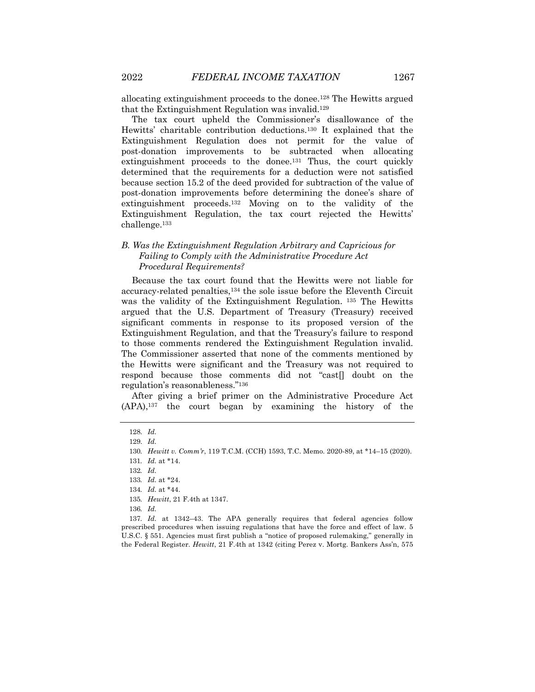allocating extinguishment proceeds to the donee.128 The Hewitts argued that the Extinguishment Regulation was invalid.129

The tax court upheld the Commissioner's disallowance of the Hewitts' charitable contribution deductions.130 It explained that the Extinguishment Regulation does not permit for the value of post-donation improvements to be subtracted when allocating extinguishment proceeds to the donee.<sup>131</sup> Thus, the court quickly determined that the requirements for a deduction were not satisfied because section 15.2 of the deed provided for subtraction of the value of post-donation improvements before determining the donee's share of extinguishment proceeds.132 Moving on to the validity of the Extinguishment Regulation, the tax court rejected the Hewitts' challenge.133

## *B. Was the Extinguishment Regulation Arbitrary and Capricious for Failing to Comply with the Administrative Procedure Act Procedural Requirements?*

Because the tax court found that the Hewitts were not liable for accuracy-related penalties,134 the sole issue before the Eleventh Circuit was the validity of the Extinguishment Regulation. <sup>135</sup> The Hewitts argued that the U.S. Department of Treasury (Treasury) received significant comments in response to its proposed version of the Extinguishment Regulation, and that the Treasury's failure to respond to those comments rendered the Extinguishment Regulation invalid. The Commissioner asserted that none of the comments mentioned by the Hewitts were significant and the Treasury was not required to respond because those comments did not "cast[] doubt on the regulation's reasonableness."136

After giving a brief primer on the Administrative Procedure Act (APA),137 the court began by examining the history of the

<sup>128.</sup> *Id.*

<sup>129.</sup> *Id.*

<sup>130</sup>*. Hewitt v. Comm'r*, 119 T.C.M. (CCH) 1593, T.C. Memo. 2020-89, at \*14–15 (2020).

<sup>131</sup>*. Id.* at \*14.

<sup>132</sup>*. Id.*

<sup>133</sup>*. Id.* at \*24.

<sup>134</sup>*. Id.* at \*44.

<sup>135</sup>*. Hewitt*, 21 F.4th at 1347.

<sup>136</sup>*. Id.*

<sup>137</sup>*. Id.* at 1342-43. The APA generally requires that federal agencies follow prescribed procedures when issuing regulations that have the force and effect of law. 5 U.S.C. § 551. Agencies must first publish a "notice of proposed rulemaking," generally in the Federal Register. *Hewitt*, 21 F.4th at 1342 (citing Perez v. Mortg. Bankers Ass'n, 575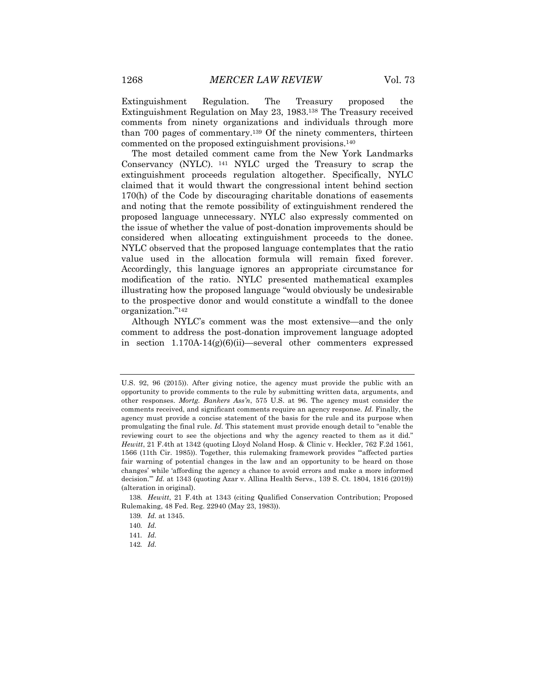Extinguishment Regulation. The Treasury proposed the Extinguishment Regulation on May 23, 1983.138 The Treasury received comments from ninety organizations and individuals through more than 700 pages of commentary.139 Of the ninety commenters, thirteen commented on the proposed extinguishment provisions.140

The most detailed comment came from the New York Landmarks Conservancy (NYLC). <sup>141</sup> NYLC urged the Treasury to scrap the extinguishment proceeds regulation altogether. Specifically, NYLC claimed that it would thwart the congressional intent behind section 170(h) of the Code by discouraging charitable donations of easements and noting that the remote possibility of extinguishment rendered the proposed language unnecessary. NYLC also expressly commented on the issue of whether the value of post-donation improvements should be considered when allocating extinguishment proceeds to the donee. NYLC observed that the proposed language contemplates that the ratio value used in the allocation formula will remain fixed forever. Accordingly, this language ignores an appropriate circumstance for modification of the ratio. NYLC presented mathematical examples illustrating how the proposed language "would obviously be undesirable to the prospective donor and would constitute a windfall to the donee organization."142

Although NYLC's comment was the most extensive—and the only comment to address the post-donation improvement language adopted in section  $1.170A-14(g)(6)(ii)$ —several other commenters expressed

U.S. 92, 96 (2015)). After giving notice, the agency must provide the public with an opportunity to provide comments to the rule by submitting written data, arguments, and other responses. *Mortg. Bankers Ass'n*, 575 U.S. at 96. The agency must consider the comments received, and significant comments require an agency response. *Id.* Finally, the agency must provide a concise statement of the basis for the rule and its purpose when promulgating the final rule. *Id.* This statement must provide enough detail to "enable the reviewing court to see the objections and why the agency reacted to them as it did." *Hewitt*, 21 F.4th at 1342 (quoting Lloyd Noland Hosp. & Clinic v. Heckler, 762 F.2d 1561, 1566 (11th Cir. 1985)). Together, this rulemaking framework provides "'affected parties fair warning of potential changes in the law and an opportunity to be heard on those changes' while 'affording the agency a chance to avoid errors and make a more informed decision.'" *Id.* at 1343 (quoting Azar v. Allina Health Servs., 139 S. Ct. 1804, 1816 (2019)) (alteration in original).

<sup>138</sup>*. Hewitt*, 21 F.4th at 1343 (citing Qualified Conservation Contribution; Proposed Rulemaking, 48 Fed. Reg. 22940 (May 23, 1983)).

<sup>139</sup>*. Id.* at 1345.

<sup>140</sup>*. Id.*

<sup>141</sup>*. Id.*

<sup>142</sup>*. Id.*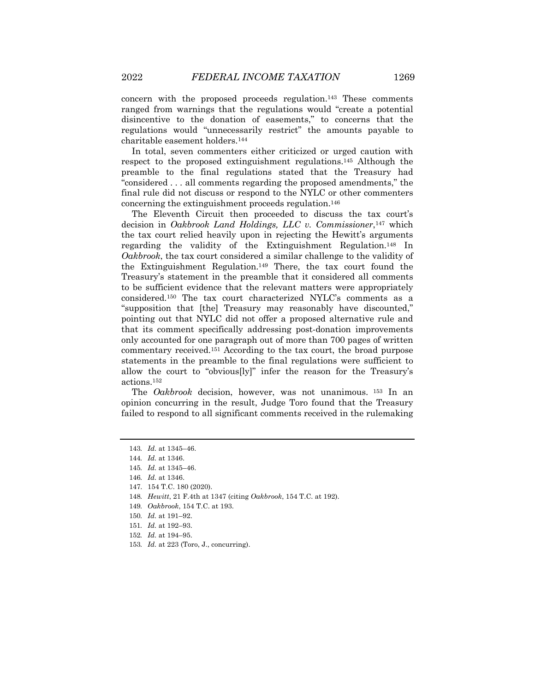concern with the proposed proceeds regulation.143 These comments ranged from warnings that the regulations would "create a potential disincentive to the donation of easements," to concerns that the regulations would "unnecessarily restrict" the amounts payable to charitable easement holders.144

In total, seven commenters either criticized or urged caution with respect to the proposed extinguishment regulations.145 Although the preamble to the final regulations stated that the Treasury had "considered . . . all comments regarding the proposed amendments," the final rule did not discuss or respond to the NYLC or other commenters concerning the extinguishment proceeds regulation.146

The Eleventh Circuit then proceeded to discuss the tax court's decision in *Oakbrook Land Holdings, LLC v. Commissioner*,147 which the tax court relied heavily upon in rejecting the Hewitt's arguments regarding the validity of the Extinguishment Regulation.148 In *Oakbrook*, the tax court considered a similar challenge to the validity of the Extinguishment Regulation.149 There, the tax court found the Treasury's statement in the preamble that it considered all comments to be sufficient evidence that the relevant matters were appropriately considered.150 The tax court characterized NYLC's comments as a "supposition that [the] Treasury may reasonably have discounted," pointing out that NYLC did not offer a proposed alternative rule and that its comment specifically addressing post-donation improvements only accounted for one paragraph out of more than 700 pages of written commentary received.151 According to the tax court, the broad purpose statements in the preamble to the final regulations were sufficient to allow the court to "obvious[ly]" infer the reason for the Treasury's actions.152

The *Oakbrook* decision, however, was not unanimous. <sup>153</sup> In an opinion concurring in the result, Judge Toro found that the Treasury failed to respond to all significant comments received in the rulemaking

<sup>143</sup>*. Id.* at 1345–46.

<sup>144</sup>*. Id.* at 1346.

<sup>145</sup>*. Id.* at 1345–46.

<sup>146</sup>*. Id.* at 1346.

<sup>147.</sup> 154 T.C. 180 (2020).

<sup>148</sup>*. Hewitt*, 21 F.4th at 1347 (citing *Oakbrook*, 154 T.C. at 192).

<sup>149</sup>*. Oakbrook*, 154 T.C. at 193.

<sup>150</sup>*. Id.* at 191–92.

<sup>151</sup>*. Id.* at 192–93.

<sup>152</sup>*. Id.* at 194–95.

<sup>153</sup>*. Id.* at 223 (Toro, J., concurring).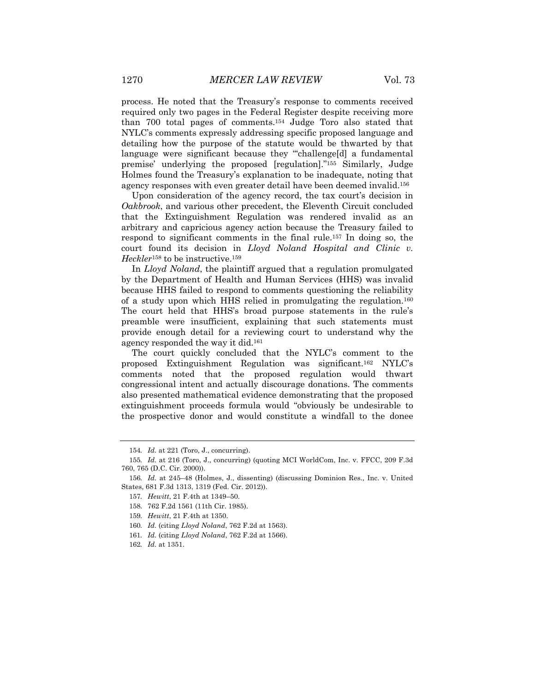process. He noted that the Treasury's response to comments received required only two pages in the Federal Register despite receiving more than 700 total pages of comments.154 Judge Toro also stated that NYLC's comments expressly addressing specific proposed language and detailing how the purpose of the statute would be thwarted by that language were significant because they "challenge[d] a fundamental premise' underlying the proposed [regulation]."155 Similarly, Judge Holmes found the Treasury's explanation to be inadequate, noting that agency responses with even greater detail have been deemed invalid.156

Upon consideration of the agency record, the tax court's decision in *Oakbrook*, and various other precedent, the Eleventh Circuit concluded that the Extinguishment Regulation was rendered invalid as an arbitrary and capricious agency action because the Treasury failed to respond to significant comments in the final rule.157 In doing so, the court found its decision in *Lloyd Noland Hospital and Clinic v. Heckler*<sup>158</sup> to be instructive.<sup>159</sup>

In *Lloyd Noland*, the plaintiff argued that a regulation promulgated by the Department of Health and Human Services (HHS) was invalid because HHS failed to respond to comments questioning the reliability of a study upon which HHS relied in promulgating the regulation.160 The court held that HHS's broad purpose statements in the rule's preamble were insufficient, explaining that such statements must provide enough detail for a reviewing court to understand why the agency responded the way it did.161

The court quickly concluded that the NYLC's comment to the proposed Extinguishment Regulation was significant.162 NYLC's comments noted that the proposed regulation would thwart congressional intent and actually discourage donations. The comments also presented mathematical evidence demonstrating that the proposed extinguishment proceeds formula would "obviously be undesirable to the prospective donor and would constitute a windfall to the donee

<sup>154</sup>*. Id.* at 221 (Toro, J., concurring).

<sup>155</sup>*. Id.* at 216 (Toro, J., concurring) (quoting MCI WorldCom, Inc. v. FFCC, 209 F.3d 760, 765 (D.C. Cir. 2000)).

<sup>156</sup>*. Id.* at 245–48 (Holmes, J., dissenting) (discussing Dominion Res., Inc. v. United States, 681 F.3d 1313, 1319 (Fed. Cir. 2012)).

<sup>157</sup>*. Hewitt*, 21 F.4th at 1349–50.

<sup>158.</sup> 762 F.2d 1561 (11th Cir. 1985).

<sup>159</sup>*. Hewitt*, 21 F.4th at 1350.

<sup>160</sup>*. Id.* (citing *Lloyd Noland*, 762 F.2d at 1563).

<sup>161</sup>*. Id.* (citing *Lloyd Noland*, 762 F.2d at 1566).

<sup>162</sup>*. Id.* at 1351.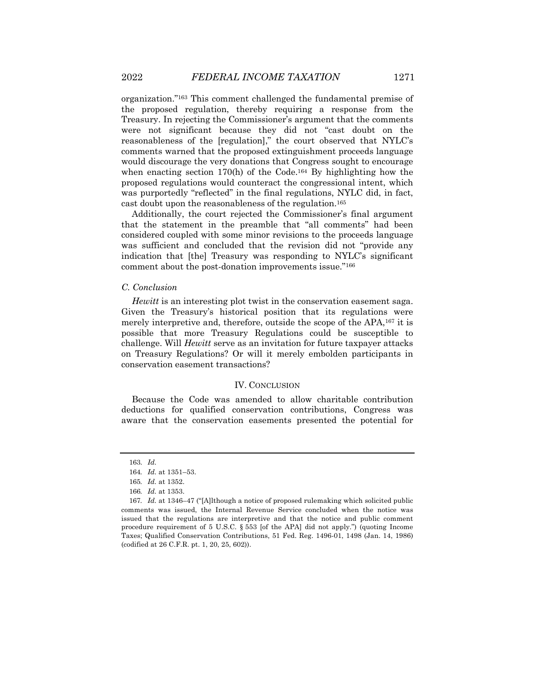organization."163 This comment challenged the fundamental premise of the proposed regulation, thereby requiring a response from the Treasury. In rejecting the Commissioner's argument that the comments were not significant because they did not "cast doubt on the reasonableness of the [regulation]," the court observed that NYLC's comments warned that the proposed extinguishment proceeds language would discourage the very donations that Congress sought to encourage when enacting section 170(h) of the Code.<sup>164</sup> By highlighting how the proposed regulations would counteract the congressional intent, which was purportedly "reflected" in the final regulations, NYLC did, in fact, cast doubt upon the reasonableness of the regulation.165

Additionally, the court rejected the Commissioner's final argument that the statement in the preamble that "all comments" had been considered coupled with some minor revisions to the proceeds language was sufficient and concluded that the revision did not "provide any indication that [the] Treasury was responding to NYLC's significant comment about the post-donation improvements issue."166

#### *C. Conclusion*

*Hewitt* is an interesting plot twist in the conservation easement saga. Given the Treasury's historical position that its regulations were merely interpretive and, therefore, outside the scope of the APA,<sup>167</sup> it is possible that more Treasury Regulations could be susceptible to challenge. Will *Hewitt* serve as an invitation for future taxpayer attacks on Treasury Regulations? Or will it merely embolden participants in conservation easement transactions?

#### IV. CONCLUSION

Because the Code was amended to allow charitable contribution deductions for qualified conservation contributions, Congress was aware that the conservation easements presented the potential for

<sup>163.</sup> *Id.*

<sup>164</sup>*. Id.* at 1351–53.

<sup>165</sup>*. Id.* at 1352.

<sup>166</sup>*. Id.* at 1353.

<sup>167</sup>*. Id.* at 1346–47 ("[A]lthough a notice of proposed rulemaking which solicited public comments was issued, the Internal Revenue Service concluded when the notice was issued that the regulations are interpretive and that the notice and public comment procedure requirement of 5 U.S.C. § 553 [of the APA] did not apply.") (quoting Income Taxes; Qualified Conservation Contributions, 51 Fed. Reg. 1496-01, 1498 (Jan. 14, 1986) (codified at 26 C.F.R. pt. 1, 20, 25, 602)).